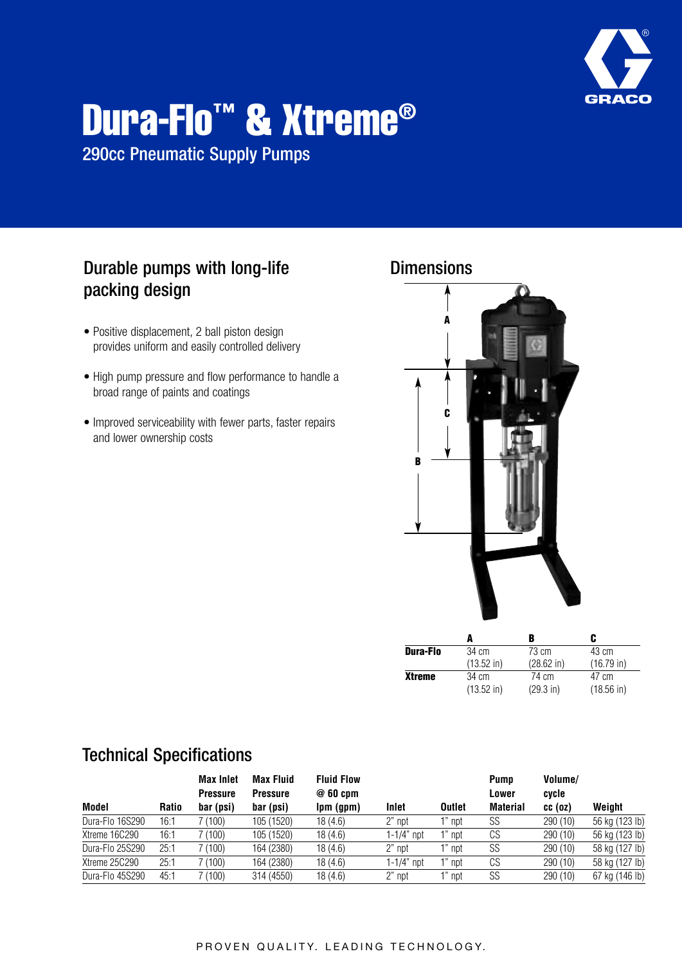

# **Dura-Flo™ & Xtreme®**

290cc Pneumatic Supply Pumps

## Durable pumps with long-life packing design

- Positive displacement, 2 ball piston design provides uniform and easily controlled delivery
- High pump pressure and flow performance to handle a broad range of paints and coatings
- Improved serviceability with fewer parts, faster repairs and lower ownership costs



|                 |                      |                      | C             |  |  |
|-----------------|----------------------|----------------------|---------------|--|--|
| <b>Dura-Flo</b> | 34 cm                | 73 cm                | 43 cm         |  |  |
|                 | $(13.52 \text{ in})$ | $(28.62 \text{ in})$ | $(16.79)$ in) |  |  |
| <b>Xtreme</b>   | 34 cm                | 74 cm                | 47 cm         |  |  |
|                 | $(13.52 \text{ in})$ | $(29.3 \text{ in})$  | $(18.56)$ in) |  |  |

|                 |              | <b>Max Inlet</b><br><b>Pressure</b> | <b>Max Fluid</b><br><b>Pressure</b> | <b>Fluid Flow</b><br>$@60$ cpm |            |               | Pump<br>Lower   | Volume/<br>cycle |                |
|-----------------|--------------|-------------------------------------|-------------------------------------|--------------------------------|------------|---------------|-----------------|------------------|----------------|
| Model           | <b>Ratio</b> | bar (psi)                           | bar (psi)                           | Ipm (gpm)                      | Inlet      | <b>Outlet</b> | <b>Material</b> | cc(oz)           | Weight         |
| Dura-Flo 16S290 | 16:1         | 7 (100)                             | 105 (1520)                          | 18 (4.6)                       | 2" npt     | npt           | SS              | 290 (10)         | 56 kg (123 lb) |
| Xtreme 16C290   | 16:1         | 7 (100)                             | 105 (1520)                          | 18 (4.6)                       | 1-1/4" npt | npt           | CS              | 290 (10)         | 56 kg (123 lb) |
| Dura-Flo 25S290 | 25:1         | 7 (100)                             | 164 (2380)                          | 18 (4.6)                       | 2" npt     | 1" npt        | SS              | 290 (10)         | 58 kg (127 lb) |
| Xtreme 25C290   | 25:1         | 7 (100)                             | 164 (2380)                          | 18 (4.6)                       | 1-1/4" npt | $1"$ npt      | CS              | 290 (10)         | 58 kg (127 lb) |
| Dura-Flo 45S290 | 45:1         | 7 (100)                             | 314 (4550)                          | 18 (4.6)                       | 2" npt     | 1" npt        | SS              | 290 (10)         | 67 kg (146 lb) |

### Technical Specifications